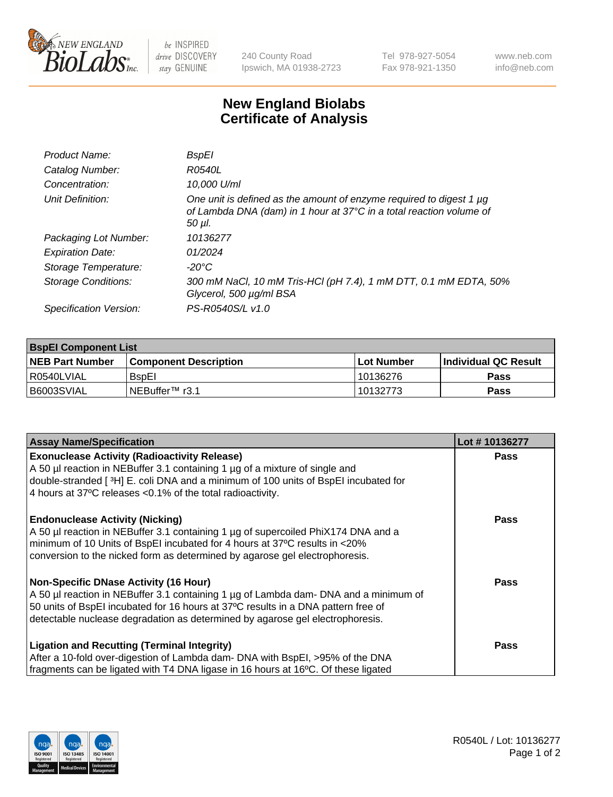

 $be$  INSPIRED drive DISCOVERY stay GENUINE

240 County Road Ipswich, MA 01938-2723 Tel 978-927-5054 Fax 978-921-1350 www.neb.com info@neb.com

## **New England Biolabs Certificate of Analysis**

| Product Name:           | BspEl                                                                                                                                                     |
|-------------------------|-----------------------------------------------------------------------------------------------------------------------------------------------------------|
| Catalog Number:         | R0540L                                                                                                                                                    |
| Concentration:          | 10.000 U/ml                                                                                                                                               |
| Unit Definition:        | One unit is defined as the amount of enzyme required to digest 1 $\mu$ g<br>of Lambda DNA (dam) in 1 hour at 37°C in a total reaction volume of<br>50 µI. |
| Packaging Lot Number:   | 10136277                                                                                                                                                  |
| <b>Expiration Date:</b> | 01/2024                                                                                                                                                   |
| Storage Temperature:    | -20°C                                                                                                                                                     |
| Storage Conditions:     | 300 mM NaCl, 10 mM Tris-HCl (pH 7.4), 1 mM DTT, 0.1 mM EDTA, 50%<br>Glycerol, 500 µg/ml BSA                                                               |
| Specification Version:  | PS-R0540S/L v1.0                                                                                                                                          |

| <b>BspEl Component List</b> |                              |             |                       |  |
|-----------------------------|------------------------------|-------------|-----------------------|--|
| <b>NEB Part Number</b>      | <b>Component Description</b> | ⊺Lot Number | ∣Individual QC Result |  |
| R0540LVIAL                  | <b>B</b> spEI                | 10136276    | <b>Pass</b>           |  |
| B6003SVIAL                  | TNEBuffer <sup>™</sup> r3.1  | 10132773    | <b>Pass</b>           |  |

| <b>Assay Name/Specification</b>                                                      | Lot #10136277 |
|--------------------------------------------------------------------------------------|---------------|
| <b>Exonuclease Activity (Radioactivity Release)</b>                                  | <b>Pass</b>   |
| A 50 µl reaction in NEBuffer 3.1 containing 1 µg of a mixture of single and          |               |
| double-stranded [3H] E. coli DNA and a minimum of 100 units of BspEI incubated for   |               |
| 4 hours at 37°C releases < 0.1% of the total radioactivity.                          |               |
| <b>Endonuclease Activity (Nicking)</b>                                               | <b>Pass</b>   |
| A 50 µl reaction in NEBuffer 3.1 containing 1 µg of supercoiled PhiX174 DNA and a    |               |
| minimum of 10 Units of BspEI incubated for 4 hours at 37°C results in <20%           |               |
| conversion to the nicked form as determined by agarose gel electrophoresis.          |               |
| <b>Non-Specific DNase Activity (16 Hour)</b>                                         | <b>Pass</b>   |
| A 50 µl reaction in NEBuffer 3.1 containing 1 µg of Lambda dam- DNA and a minimum of |               |
| 50 units of BspEI incubated for 16 hours at 37°C results in a DNA pattern free of    |               |
| detectable nuclease degradation as determined by agarose gel electrophoresis.        |               |
| <b>Ligation and Recutting (Terminal Integrity)</b>                                   | <b>Pass</b>   |
| After a 10-fold over-digestion of Lambda dam- DNA with BspEI, >95% of the DNA        |               |
| fragments can be ligated with T4 DNA ligase in 16 hours at 16°C. Of these ligated    |               |